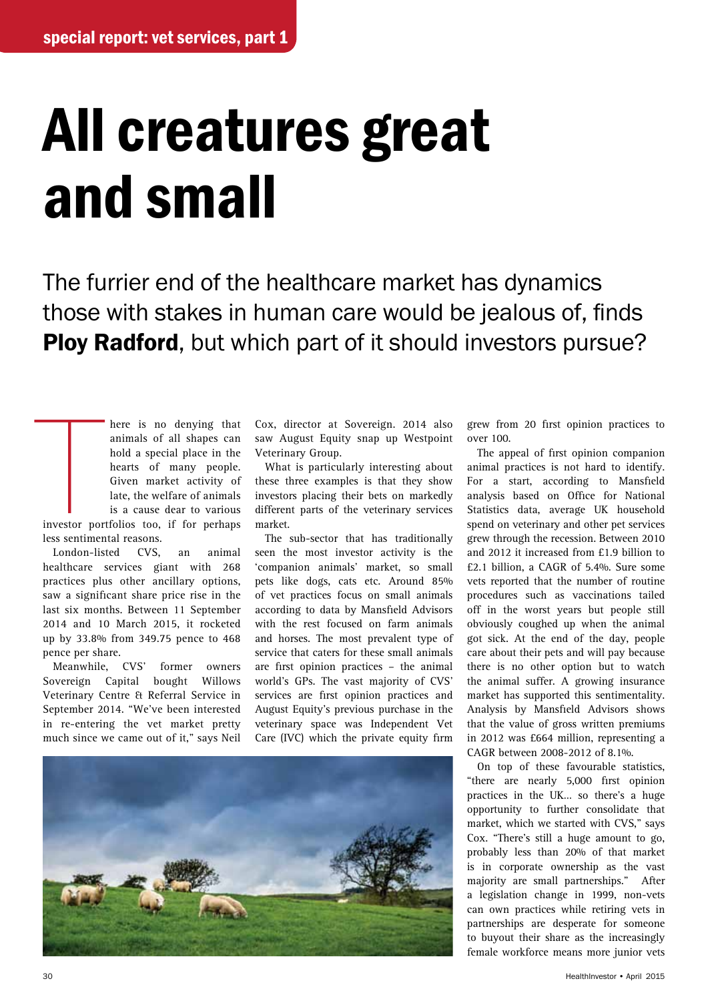## All creatures great and small

The furrier end of the healthcare market has dynamics those with stakes in human care would be jealous of, finds Ploy Radford, but which part of it should investors pursue?

The state of the state of the state of the state of the state of the state of the state of the state of the state of the state of the state of the state of the state of the state of the state of the state of the state of t here is no denying that animals of all shapes can hold a special place in the hearts of many people. Given market activity of late, the welfare of animals is a cause dear to various investor portfolios too, if for perhaps less sentimental reasons.

London-listed CVS, an animal healthcare services giant with 268 practices plus other ancillary options, saw a significant share price rise in the last six months. Between 11 September 2014 and 10 March 2015, it rocketed up by 33.8% from 349.75 pence to 468 pence per share.

Meanwhile, CVS' former owners Sovereign Capital bought Willows Veterinary Centre & Referral Service in September 2014. "We've been interested in re-entering the vet market pretty much since we came out of it," says Neil

Cox, director at Sovereign. 2014 also saw August Equity snap up Westpoint Veterinary Group.

What is particularly interesting about these three examples is that they show investors placing their bets on markedly different parts of the veterinary services market.

The sub-sector that has traditionally seen the most investor activity is the 'companion animals' market, so small pets like dogs, cats etc. Around 85% of vet practices focus on small animals according to data by Mansfield Advisors with the rest focused on farm animals and horses. The most prevalent type of service that caters for these small animals are first opinion practices – the animal world's GPs. The vast majority of CVS' services are first opinion practices and August Equity's previous purchase in the veterinary space was Independent Vet Care (IVC) which the private equity firm



grew from 20 first opinion practices to over 100.

The appeal of first opinion companion animal practices is not hard to identify. For a start, according to Mansfield analysis based on Office for National Statistics data, average UK household spend on veterinary and other pet services grew through the recession. Between 2010 and 2012 it increased from £1.9 billion to £2.1 billion, a CAGR of 5.4%. Sure some vets reported that the number of routine procedures such as vaccinations tailed off in the worst years but people still obviously coughed up when the animal got sick. At the end of the day, people care about their pets and will pay because there is no other option but to watch the animal suffer. A growing insurance market has supported this sentimentality. Analysis by Mansfield Advisors shows that the value of gross written premiums in 2012 was £664 million, representing a CAGR between 2008-2012 of 8.1%.

On top of these favourable statistics, "there are nearly 5,000 first opinion practices in the UK… so there's a huge opportunity to further consolidate that market, which we started with CVS," says Cox. "There's still a huge amount to go, probably less than 20% of that market is in corporate ownership as the vast majority are small partnerships." After a legislation change in 1999, non-vets can own practices while retiring vets in partnerships are desperate for someone to buyout their share as the increasingly female workforce means more junior vets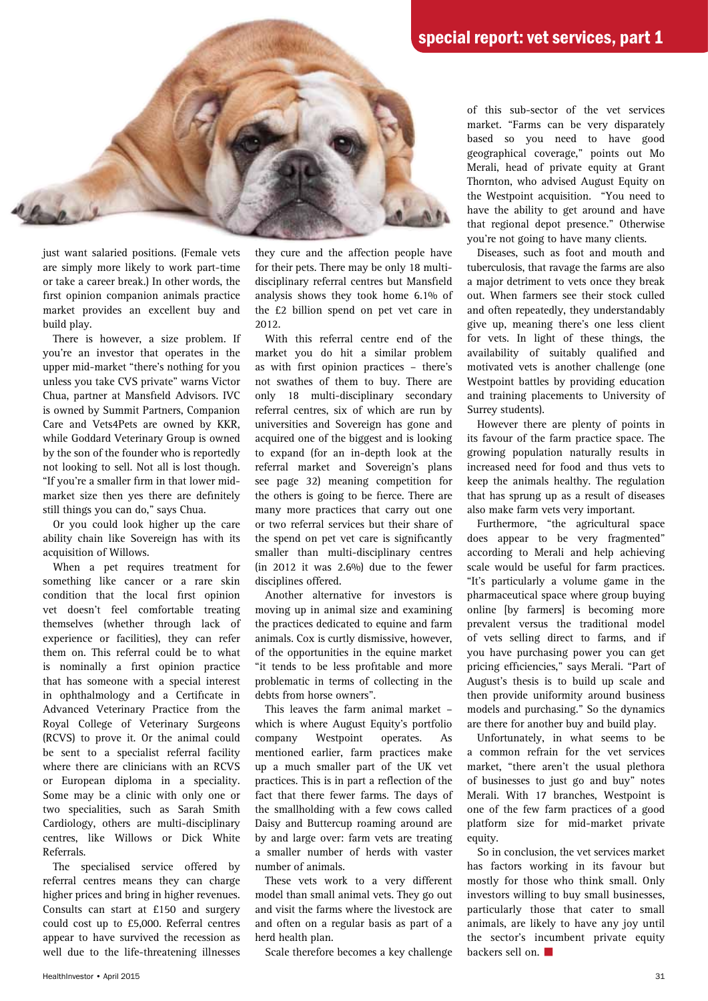

just want salaried positions. (Female vets are simply more likely to work part-time or take a career break.) In other words, the first opinion companion animals practice market provides an excellent buy and build play.

There is however, a size problem. If you're an investor that operates in the upper mid-market "there's nothing for you unless you take CVS private" warns Victor Chua, partner at Mansfield Advisors. IVC is owned by Summit Partners, Companion Care and Vets4Pets are owned by KKR, while Goddard Veterinary Group is owned by the son of the founder who is reportedly not looking to sell. Not all is lost though. "If you're a smaller firm in that lower midmarket size then yes there are definitely still things you can do," says Chua.

Or you could look higher up the care ability chain like Sovereign has with its acquisition of Willows.

When a pet requires treatment for something like cancer or a rare skin condition that the local first opinion vet doesn't feel comfortable treating themselves (whether through lack of experience or facilities), they can refer them on. This referral could be to what is nominally a first opinion practice that has someone with a special interest in ophthalmology and a Certificate in Advanced Veterinary Practice from the Royal College of Veterinary Surgeons (RCVS) to prove it. Or the animal could be sent to a specialist referral facility where there are clinicians with an RCVS or European diploma in a speciality. Some may be a clinic with only one or two specialities, such as Sarah Smith Cardiology, others are multi-disciplinary centres, like Willows or Dick White Referrals.

The specialised service offered by referral centres means they can charge higher prices and bring in higher revenues. Consults can start at £150 and surgery could cost up to £5,000. Referral centres appear to have survived the recession as well due to the life-threatening illnesses they cure and the affection people have for their pets. There may be only 18 multidisciplinary referral centres but Mansfield analysis shows they took home 6.1% of the £2 billion spend on pet vet care in 2012.

With this referral centre end of the market you do hit a similar problem as with first opinion practices – there's not swathes of them to buy. There are only 18 multi-disciplinary secondary referral centres, six of which are run by universities and Sovereign has gone and acquired one of the biggest and is looking to expand (for an in-depth look at the referral market and Sovereign's plans see page 32) meaning competition for the others is going to be fierce. There are many more practices that carry out one or two referral services but their share of the spend on pet vet care is significantly smaller than multi-disciplinary centres (in 2012 it was  $2.6\%$ ) due to the fewer disciplines offered.

Another alternative for investors is moving up in animal size and examining the practices dedicated to equine and farm animals. Cox is curtly dismissive, however, of the opportunities in the equine market "it tends to be less profitable and more problematic in terms of collecting in the debts from horse owners".

This leaves the farm animal market – which is where August Equity's portfolio company Westpoint operates. As mentioned earlier, farm practices make up a much smaller part of the UK vet practices. This is in part a reflection of the fact that there fewer farms. The days of the smallholding with a few cows called Daisy and Buttercup roaming around are by and large over: farm vets are treating a smaller number of herds with vaster number of animals.

These vets work to a very different model than small animal vets. They go out and visit the farms where the livestock are and often on a regular basis as part of a herd health plan.

Scale therefore becomes a key challenge

of this sub-sector of the vet services market. "Farms can be very disparately based so you need to have good geographical coverage," points out Mo Merali, head of private equity at Grant Thornton, who advised August Equity on the Westpoint acquisition. "You need to have the ability to get around and have that regional depot presence." Otherwise you're not going to have many clients.

Diseases, such as foot and mouth and tuberculosis, that ravage the farms are also a major detriment to vets once they break out. When farmers see their stock culled and often repeatedly, they understandably give up, meaning there's one less client for vets. In light of these things, the availability of suitably qualified and motivated vets is another challenge (one Westpoint battles by providing education and training placements to University of Surrey students).

However there are plenty of points in its favour of the farm practice space. The growing population naturally results in increased need for food and thus vets to keep the animals healthy. The regulation that has sprung up as a result of diseases also make farm vets very important.

Furthermore, "the agricultural space does appear to be very fragmented" according to Merali and help achieving scale would be useful for farm practices. "It's particularly a volume game in the pharmaceutical space where group buying online [by farmers] is becoming more prevalent versus the traditional model of vets selling direct to farms, and if you have purchasing power you can get pricing efficiencies," says Merali. "Part of August's thesis is to build up scale and then provide uniformity around business models and purchasing." So the dynamics are there for another buy and build play.

Unfortunately, in what seems to be a common refrain for the vet services market, "there aren't the usual plethora of businesses to just go and buy" notes Merali. With 17 branches, Westpoint is one of the few farm practices of a good platform size for mid-market private equity.

So in conclusion, the vet services market has factors working in its favour but mostly for those who think small. Only investors willing to buy small businesses, particularly those that cater to small animals, are likely to have any joy until the sector's incumbent private equity backers sell on.  $\blacksquare$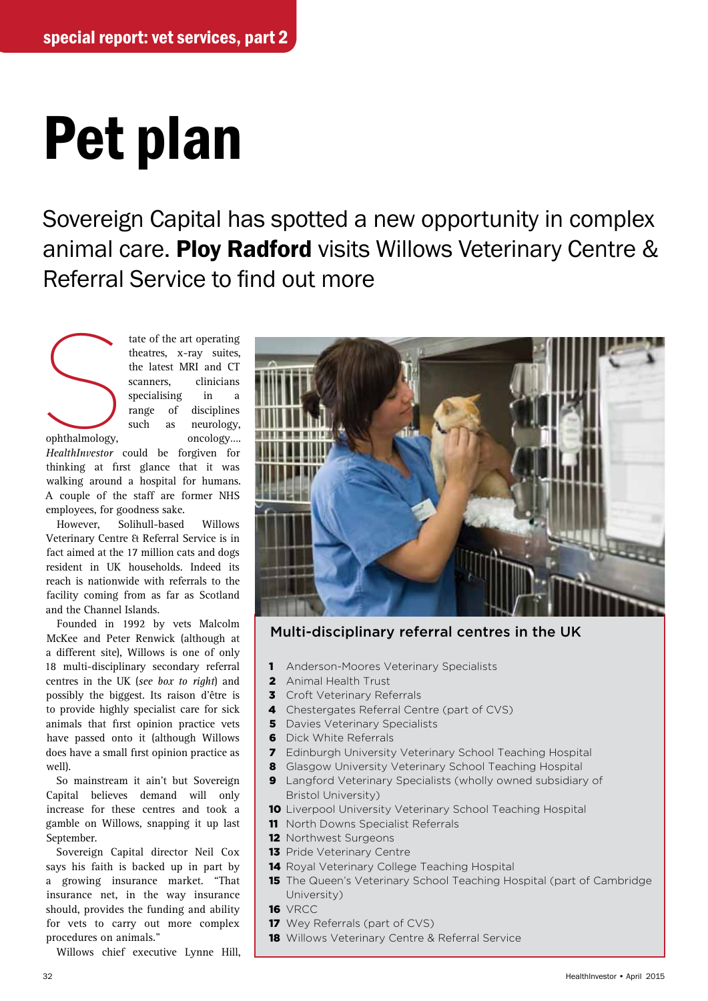## Pet plan

Sovereign Capital has spotted a new opportunity in complex animal care. Ploy Radford visits Willows Veterinary Centre & Referral Service to find out more



tate of the art operating<br>theatres, x-ray suites,<br>the latest MRI and CT<br>scanners, clinicians<br>specialising in a<br>range of disciplines<br>such as neurology,<br>oncology... theatres, x-ray suites, the latest MRI and CT scanners, clinicians specialising in a range of disciplines such as neurology, ophthalmology, oncology….

*HealthInvestor* could be forgiven for thinking at first glance that it was walking around a hospital for humans. A couple of the staff are former NHS employees, for goodness sake.

However, Solihull-based Willows Veterinary Centre & Referral Service is in fact aimed at the 17 million cats and dogs resident in UK households. Indeed its reach is nationwide with referrals to the facility coming from as far as Scotland and the Channel Islands.

Founded in 1992 by vets Malcolm McKee and Peter Renwick (although at a different site), Willows is one of only 18 multi-disciplinary secondary referral centres in the UK (*see box to right*) and possibly the biggest. Its raison d'être is to provide highly specialist care for sick animals that first opinion practice vets have passed onto it (although Willows does have a small first opinion practice as well).

So mainstream it ain't but Sovereign Capital believes demand will only increase for these centres and took a gamble on Willows, snapping it up last September.

Sovereign Capital director Neil Cox says his faith is backed up in part by a growing insurance market. "That insurance net, in the way insurance should, provides the funding and ability for vets to carry out more complex procedures on animals."

Willows chief executive Lynne Hill,



Multi-disciplinary referral centres in the UK

- 1 Anderson-Moores Veterinary Specialists
- 2 Animal Health Trust
- **3** Croft Veterinary Referrals
- 4 Chestergates Referral Centre (part of CVS)
- **5** Davies Veterinary Specialists
- **6** Dick White Referrals
- 7 Edinburgh University Veterinary School Teaching Hospital
- 8 Glasgow University Veterinary School Teaching Hospital
- **9** Langford Veterinary Specialists (wholly owned subsidiary of Bristol University)
- 10 Liverpool University Veterinary School Teaching Hospital
- 11 North Downs Specialist Referrals
- 12 Northwest Surgeons
- 13 Pride Veterinary Centre
- 14 Royal Veterinary College Teaching Hospital
- **15** The Queen's Veterinary School Teaching Hospital (part of Cambridge University)
- 16 VRCC
- 17 Wey Referrals (part of CVS)
- **18** Willows Veterinary Centre & Referral Service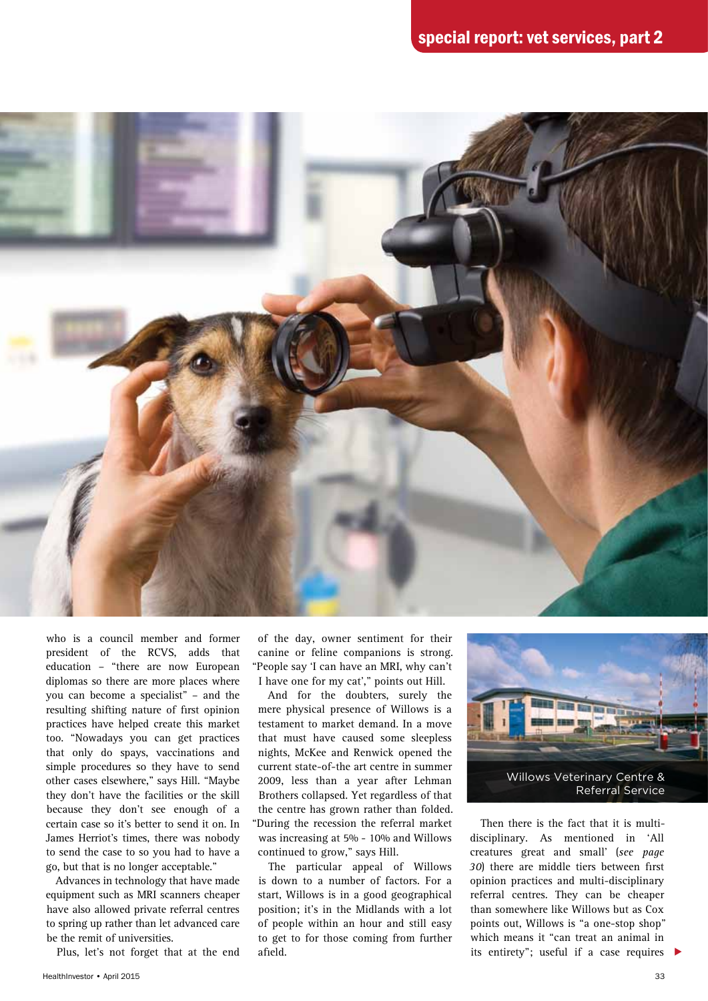

who is a council member and former president of the RCVS, adds that education – "there are now European diplomas so there are more places where you can become a specialist" – and the resulting shifting nature of first opinion practices have helped create this market too. "Nowadays you can get practices that only do spays, vaccinations and simple procedures so they have to send other cases elsewhere," says Hill. "Maybe they don't have the facilities or the skill because they don't see enough of a certain case so it's better to send it on. In James Herriot's times, there was nobody to send the case to so you had to have a go, but that is no longer acceptable."

Advances in technology that have made equipment such as MRI scanners cheaper have also allowed private referral centres to spring up rather than let advanced care be the remit of universities.

Plus, let's not forget that at the end

of the day, owner sentiment for their canine or feline companions is strong. "People say 'I can have an MRI, why can't I have one for my cat'," points out Hill.

And for the doubters, surely the mere physical presence of Willows is a testament to market demand. In a move that must have caused some sleepless nights, McKee and Renwick opened the current state-of-the art centre in summer 2009, less than a year after Lehman Brothers collapsed. Yet regardless of that the centre has grown rather than folded. "During the recession the referral market was increasing at 5% - 10% and Willows continued to grow," says Hill.

The particular appeal of Willows is down to a number of factors. For a start, Willows is in a good geographical position; it's in the Midlands with a lot of people within an hour and still easy to get to for those coming from further afield.



its entirety"; useful if a case requires  $\blacktriangleright$ Then there is the fact that it is multidisciplinary. As mentioned in 'All creatures great and small' (*see page 30*) there are middle tiers between first opinion practices and multi-disciplinary referral centres. They can be cheaper than somewhere like Willows but as Cox points out, Willows is "a one-stop shop" which means it "can treat an animal in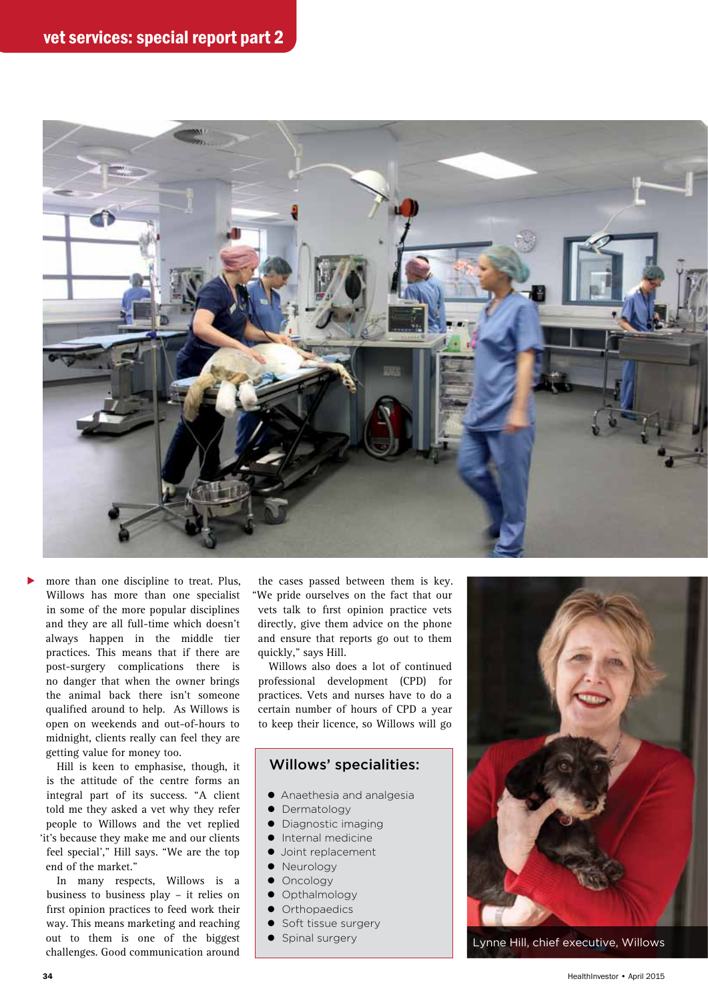

more than one discipline to treat. Plus, Willows has more than one specialist in some of the more popular disciplines and they are all full-time which doesn't always happen in the middle tier practices. This means that if there are post-surgery complications there is no danger that when the owner brings the animal back there isn't someone qualified around to help. As Willows is open on weekends and out-of-hours to midnight, clients really can feel they are getting value for money too. ▶

Hill is keen to emphasise, though, it is the attitude of the centre forms an integral part of its success. "A client told me they asked a vet why they refer people to Willows and the vet replied 'it's because they make me and our clients feel special'," Hill says. "We are the top end of the market."

In many respects, Willows is a business to business play – it relies on first opinion practices to feed work their way. This means marketing and reaching out to them is one of the biggest challenges. Good communication around

the cases passed between them is key. "We pride ourselves on the fact that our vets talk to first opinion practice vets directly, give them advice on the phone and ensure that reports go out to them quickly," says Hill.

Willows also does a lot of continued professional development (CPD) for practices. Vets and nurses have to do a certain number of hours of CPD a year to keep their licence, so Willows will go

## Willows' specialities:

- Anaethesia and analgesia
- Dermatology
- Diagnostic imaging
- $\bullet$  Internal medicine
- Joint replacement
- Neurology
- Oncology
- Opthalmology
- Orthopaedics
- **•** Soft tissue surgery
- 



**•** Spinal surgery **Lynne Hill, chief executive, Willows**